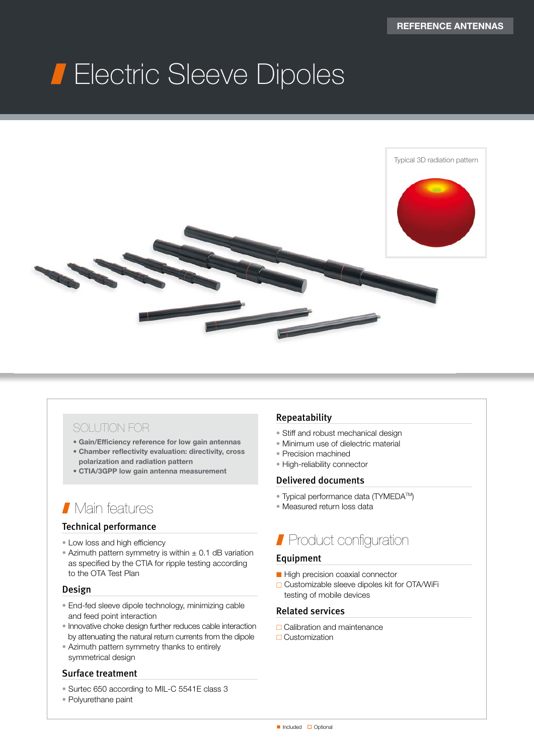# Electric Sleeve Dipoles



### SOLUTION FOR

- Gain/Efficiency reference for low gain antennas
- Chamber reflectivity evaluation: directivity, cross polarization and radiation pattern
- CTIA/3GPP low gain antenna measurement

## Main features

#### Technical performance

- Low loss and high efficiency
- Azimuth pattern symmetry is within  $\pm$  0.1 dB variation as specified by the CTIA for ripple testing according to the OTA Test Plan

#### Design

- End-fed sleeve dipole technology, minimizing cable and feed point interaction
- Innovative choke design further reduces cable interaction by attenuating the natural return currents from the dipole
- Azimuth pattern symmetry thanks to entirely symmetrical design

#### Surface treatment

- Surtec 650 according to MIL-C 5541E class 3
- Polyurethane paint

#### Repeatability

- Stiff and robust mechanical design
- Minimum use of dielectric material
- Precision machined
- High-reliability connector

#### Delivered documents

- Typical performance data (TYMEDA<sup>TM</sup>)
- Measured return loss data

## Product configuration

#### Equipment

- High precision coaxial connector
- □ Customizable sleeve dipoles kit for OTA/WiFi testing of mobile devices

#### Related services

- □ Calibration and maintenance
- $\Box$  Customization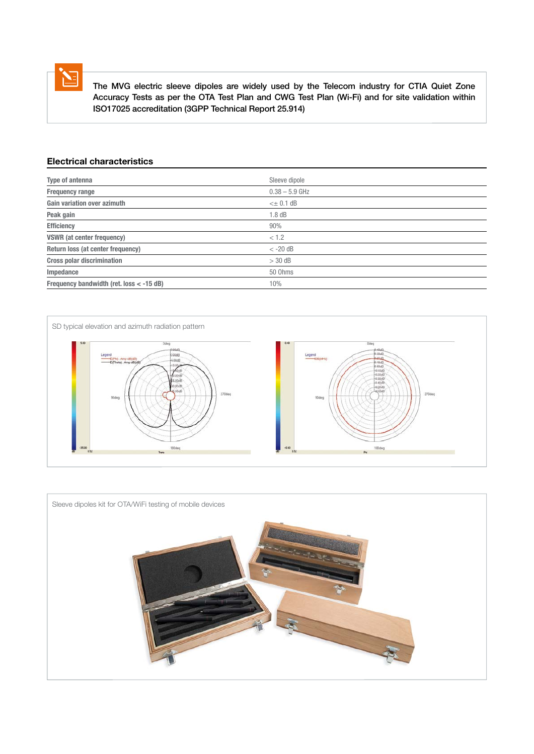

 The MVG electric sleeve dipoles are widely used by the Telecom industry for CTIA Quiet Zone Accuracy Tests as per the OTA Test Plan and CWG Test Plan (Wi-Fi) and for site validation within ISO17025 accreditation (3GPP Technical Report 25.914)

#### Electrical characteristics

| Type of antenna                          | Sleeve dipole       |
|------------------------------------------|---------------------|
| <b>Frequency range</b>                   | $0.38 - 5.9$ GHz    |
| <b>Gain variation over azimuth</b>       | $\leq$ $\pm$ 0.1 dB |
| Peak gain                                | 1.8dB               |
| <b>Efficiency</b>                        | 90%                 |
| <b>VSWR</b> (at center frequency)        | < 1.2               |
| Return loss (at center frequency)        | $< -20$ dB          |
| <b>Cross polar discrimination</b>        | $>$ 30 dB           |
| Impedance                                | 50 Ohms             |
| Frequency bandwidth (ret. loss < -15 dB) | 10%                 |



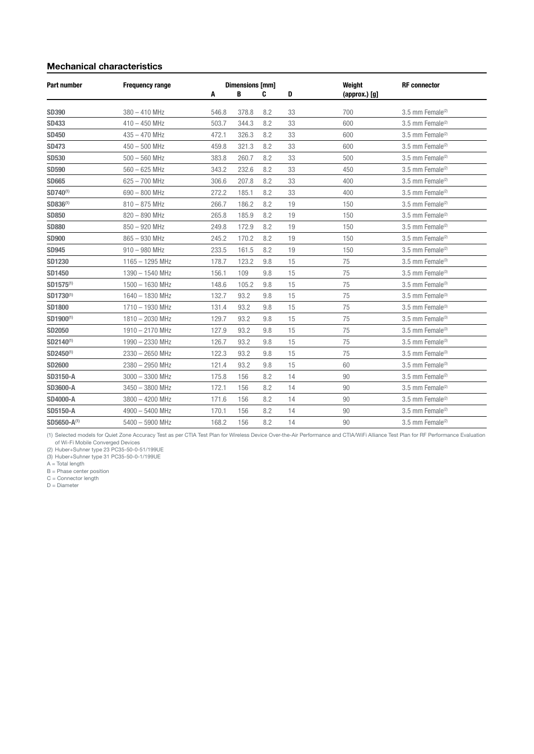#### Mechanical characteristics

| <b>Part number</b>    | <b>Frequency range</b> | Α     | <b>Dimensions [mm]</b><br>в | C   | D  | Weight<br>$(approx.)$ $[g]$ | <b>RF</b> connector          |
|-----------------------|------------------------|-------|-----------------------------|-----|----|-----------------------------|------------------------------|
| <b>SD390</b>          | $380 - 410$ MHz        | 546.8 | 378.8                       | 8.2 | 33 | 700                         | 3.5 mm Female <sup>(2)</sup> |
| <b>SD433</b>          | $410 - 450$ MHz        | 503.7 | 344.3                       | 8.2 | 33 | 600                         | 3.5 mm Female <sup>(2)</sup> |
| <b>SD450</b>          | $435 - 470$ MHz        | 472.1 | 326.3                       | 8.2 | 33 | 600                         | 3.5 mm Female <sup>(2)</sup> |
| <b>SD473</b>          | $450 - 500$ MHz        | 459.8 | 321.3                       | 8.2 | 33 | 600                         | 3.5 mm Female <sup>(2)</sup> |
| <b>SD530</b>          | $500 - 560$ MHz        | 383.8 | 260.7                       | 8.2 | 33 | 500                         | 3.5 mm Female <sup>(2)</sup> |
| <b>SD590</b>          | $560 - 625$ MHz        | 343.2 | 232.6                       | 8.2 | 33 | 450                         | 3.5 mm Female <sup>(2)</sup> |
| <b>SD665</b>          | $625 - 700$ MHz        | 306.6 | 207.8                       | 8.2 | 33 | 400                         | 3.5 mm Female <sup>(2)</sup> |
| SD740 <sup>(1)</sup>  | $690 - 800$ MHz        | 272.2 | 185.1                       | 8.2 | 33 | 400                         | 3.5 mm Female <sup>(2)</sup> |
| SD836 <sup>(1)</sup>  | $810 - 875$ MHz        | 266.7 | 186.2                       | 8.2 | 19 | 150                         | 3.5 mm Female <sup>(2)</sup> |
| <b>SD850</b>          | $820 - 890$ MHz        | 265.8 | 185.9                       | 8.2 | 19 | 150                         | 3.5 mm Female <sup>(2)</sup> |
| <b>SD880</b>          | $850 - 920$ MHz        | 249.8 | 172.9                       | 8.2 | 19 | 150                         | 3.5 mm Female <sup>(2)</sup> |
| <b>SD900</b>          | $865 - 930$ MHz        | 245.2 | 170.2                       | 8.2 | 19 | 150                         | 3.5 mm Female <sup>(2)</sup> |
| <b>SD945</b>          | $910 - 980$ MHz        | 233.5 | 161.5                       | 8.2 | 19 | 150                         | 3.5 mm Female <sup>(2)</sup> |
| <b>SD1230</b>         | $1165 - 1295$ MHz      | 178.7 | 123.2                       | 9.8 | 15 | 75                          | 3.5 mm Female <sup>(3)</sup> |
| SD1450                | 1390 - 1540 MHz        | 156.1 | 109                         | 9.8 | 15 | 75                          | 3.5 mm Female <sup>(3)</sup> |
| SD1575 <sup>(1)</sup> | 1500 - 1630 MHz        | 148.6 | 105.2                       | 9.8 | 15 | 75                          | 3.5 mm Female <sup>(3)</sup> |
| SD1730 <sup>(1)</sup> | 1640 - 1830 MHz        | 132.7 | 93.2                        | 9.8 | 15 | 75                          | 3.5 mm Female <sup>(3)</sup> |
| <b>SD1800</b>         | 1710 - 1930 MHz        | 131.4 | 93.2                        | 9.8 | 15 | 75                          | 3.5 mm Female <sup>(3)</sup> |
| SD1900(1)             | 1810 - 2030 MHz        | 129.7 | 93.2                        | 9.8 | 15 | 75                          | 3.5 mm Female <sup>(3)</sup> |
| <b>SD2050</b>         | 1910 - 2170 MHz        | 127.9 | 93.2                        | 9.8 | 15 | 75                          | 3.5 mm Female <sup>(3)</sup> |
| SD2140(1)             | 1990 - 2330 MHz        | 126.7 | 93.2                        | 9.8 | 15 | 75                          | 3.5 mm Female <sup>(3)</sup> |
| SD2450 <sup>(1)</sup> | $2330 - 2650$ MHz      | 122.3 | 93.2                        | 9.8 | 15 | 75                          | 3.5 mm Female $(3)$          |
| <b>SD2600</b>         | 2380 - 2950 MHz        | 121.4 | 93.2                        | 9.8 | 15 | 60                          | 3.5 mm Female <sup>(3)</sup> |
| <b>SD3150-A</b>       | $3000 - 3300$ MHz      | 175.8 | 156                         | 8.2 | 14 | 90                          | 3.5 mm Female <sup>(2)</sup> |
| <b>SD3600-A</b>       | $3450 - 3800$ MHz      | 172.1 | 156                         | 8.2 | 14 | 90                          | 3.5 mm Female <sup>(2)</sup> |
| <b>SD4000-A</b>       | $3800 - 4200$ MHz      | 171.6 | 156                         | 8.2 | 14 | 90                          | 3.5 mm Female $(2)$          |
| <b>SD5150-A</b>       | $4900 - 5400$ MHz      | 170.1 | 156                         | 8.2 | 14 | 90                          | 3.5 mm Female <sup>(2)</sup> |
| SD5650-A(1)           | $5400 - 5900$ MHz      | 168.2 | 156                         | 8.2 | 14 | 90                          | 3.5 mm Female <sup>(2)</sup> |

(1) Selected models for Quiet Zone Accuracy Test as per CTIA Test Plan for Wireless Device Over-the-Air Performance and CTIA/WiFi Alliance Test Plan for RF Performance Evaluation<br>| of Wi-Fi Mobile Converged Devices<br>|2) Hub

D = Diameter